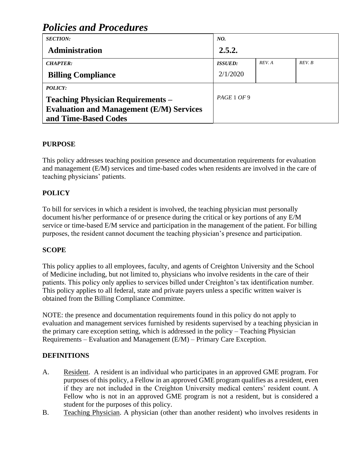| <b>SECTION:</b>                                                                                                                | NO.                   |        |        |
|--------------------------------------------------------------------------------------------------------------------------------|-----------------------|--------|--------|
| <b>Administration</b>                                                                                                          | 2.5.2.                |        |        |
| <b>CHAPTER:</b>                                                                                                                | <i><b>ISSUED:</b></i> | REV. A | REV. B |
| <b>Billing Compliance</b>                                                                                                      | 2/1/2020              |        |        |
| POLICY:<br><b>Teaching Physician Requirements –</b><br><b>Evaluation and Management (E/M) Services</b><br>and Time-Based Codes | PAGE 1 OF 9           |        |        |

#### **PURPOSE**

This policy addresses teaching position presence and documentation requirements for evaluation and management (E/M) services and time-based codes when residents are involved in the care of teaching physicians' patients.

#### **POLICY**

To bill for services in which a resident is involved, the teaching physician must personally document his/her performance of or presence during the critical or key portions of any E/M service or time-based E/M service and participation in the management of the patient. For billing purposes, the resident cannot document the teaching physician's presence and participation.

#### **SCOPE**

This policy applies to all employees, faculty, and agents of Creighton University and the School of Medicine including, but not limited to, physicians who involve residents in the care of their patients. This policy only applies to services billed under Creighton's tax identification number. This policy applies to all federal, state and private payers unless a specific written waiver is obtained from the Billing Compliance Committee.

NOTE: the presence and documentation requirements found in this policy do not apply to evaluation and management services furnished by residents supervised by a teaching physician in the primary care exception setting, which is addressed in the policy – Teaching Physician Requirements – Evaluation and Management (E/M) – Primary Care Exception.

#### **DEFINITIONS**

- A. Resident. A resident is an individual who participates in an approved GME program. For purposes of this policy, a Fellow in an approved GME program qualifies as a resident, even if they are not included in the Creighton University medical centers' resident count. A Fellow who is not in an approved GME program is not a resident, but is considered a student for the purposes of this policy.
- B. Teaching Physician. A physician (other than another resident) who involves residents in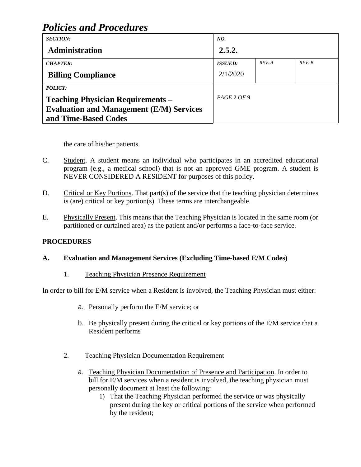| <b>SECTION:</b>                                                                                                                       | NO.                   |        |        |
|---------------------------------------------------------------------------------------------------------------------------------------|-----------------------|--------|--------|
| <b>Administration</b>                                                                                                                 | 2.5.2.                |        |        |
| <b>CHAPTER:</b>                                                                                                                       | <i><b>ISSUED:</b></i> | REV. A | REV. B |
| <b>Billing Compliance</b>                                                                                                             | 2/1/2020              |        |        |
| <i>POLICY:</i><br><b>Teaching Physician Requirements –</b><br><b>Evaluation and Management (E/M) Services</b><br>and Time-Based Codes | PAGE 2 OF 9           |        |        |

the care of his/her patients.

- C. Student. A student means an individual who participates in an accredited educational program (e.g., a medical school) that is not an approved GME program. A student is NEVER CONSIDERED A RESIDENT for purposes of this policy.
- D. Critical or Key Portions. That part(s) of the service that the teaching physician determines is (are) critical or key portion(s). These terms are interchangeable.
- E. Physically Present. This means that the Teaching Physician is located in the same room (or partitioned or curtained area) as the patient and/or performs a face-to-face service.

#### **PROCEDURES**

#### **A. Evaluation and Management Services (Excluding Time-based E/M Codes)**

#### 1. Teaching Physician Presence Requirement

In order to bill for E/M service when a Resident is involved, the Teaching Physician must either:

- a. Personally perform the E/M service; or
- b. Be physically present during the critical or key portions of the E/M service that a Resident performs
- 2. Teaching Physician Documentation Requirement
	- a. Teaching Physician Documentation of Presence and Participation. In order to bill for E/M services when a resident is involved, the teaching physician must personally document at least the following:
		- 1) That the Teaching Physician performed the service or was physically present during the key or critical portions of the service when performed by the resident;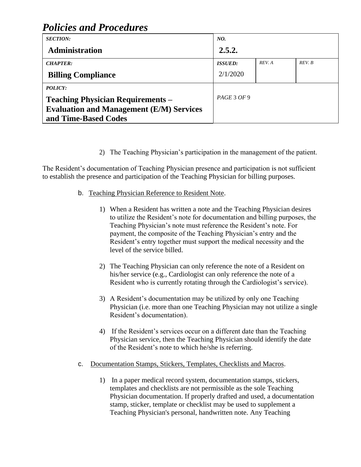| <b>SECTION:</b>                                                                                                                | NO.                   |        |        |
|--------------------------------------------------------------------------------------------------------------------------------|-----------------------|--------|--------|
| <b>Administration</b>                                                                                                          | 2.5.2.                |        |        |
| <b>CHAPTER:</b>                                                                                                                | <i><b>ISSUED:</b></i> | REV. A | REV. B |
| <b>Billing Compliance</b>                                                                                                      | 2/1/2020              |        |        |
| POLICY:<br><b>Teaching Physician Requirements –</b><br><b>Evaluation and Management (E/M) Services</b><br>and Time-Based Codes | PAGE 3 OF 9           |        |        |

2) The Teaching Physician's participation in the management of the patient.

The Resident's documentation of Teaching Physician presence and participation is not sufficient to establish the presence and participation of the Teaching Physician for billing purposes.

- b. Teaching Physician Reference to Resident Note.
	- 1) When a Resident has written a note and the Teaching Physician desires to utilize the Resident's note for documentation and billing purposes, the Teaching Physician's note must reference the Resident's note. For payment, the composite of the Teaching Physician's entry and the Resident's entry together must support the medical necessity and the level of the service billed.
	- 2) The Teaching Physician can only reference the note of a Resident on his/her service (e.g., Cardiologist can only reference the note of a Resident who is currently rotating through the Cardiologist's service).
	- 3) A Resident's documentation may be utilized by only one Teaching Physician (i.e. more than one Teaching Physician may not utilize a single Resident's documentation).
	- 4) If the Resident's services occur on a different date than the Teaching Physician service, then the Teaching Physician should identify the date of the Resident's note to which he/she is referring.
- c. Documentation Stamps, Stickers, Templates, Checklists and Macros.
	- 1) In a paper medical record system, documentation stamps, stickers, templates and checklists are not permissible as the sole Teaching Physician documentation. If properly drafted and used, a documentation stamp, sticker, template or checklist may be used to supplement a Teaching Physician's personal, handwritten note. Any Teaching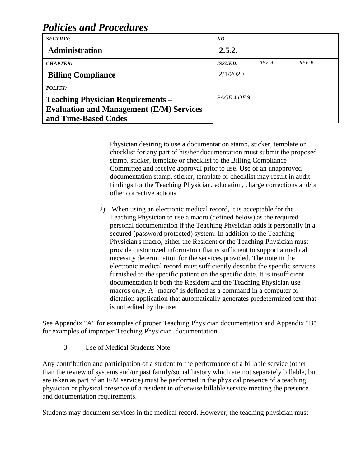| <b>SECTION:</b>                                                                                                                | NO.                   |        |        |
|--------------------------------------------------------------------------------------------------------------------------------|-----------------------|--------|--------|
| <b>Administration</b>                                                                                                          | 2.5.2.                |        |        |
| <b>CHAPTER:</b>                                                                                                                | <i><b>ISSUED:</b></i> | REV. A | REV. B |
| <b>Billing Compliance</b>                                                                                                      | 2/1/2020              |        |        |
| POLICY:<br><b>Teaching Physician Requirements –</b><br><b>Evaluation and Management (E/M) Services</b><br>and Time-Based Codes | PAGE 4 OF 9           |        |        |

Physician desiring to use a documentation stamp, sticker, template or checklist for any part of his/her documentation must submit the proposed stamp, sticker, template or checklist to the Billing Compliance Committee and receive approval prior to use. Use of an unapproved documentation stamp, sticker, template or checklist may result in audit findings for the Teaching Physician, education, charge corrections and/or other corrective actions.

2) When using an electronic medical record, it is acceptable for the Teaching Physician to use a macro (defined below) as the required personal documentation if the Teaching Physician adds it personally in a secured (password protected) system. In addition to the Teaching Physician's macro, either the Resident or the Teaching Physician must provide customized information that is sufficient to support a medical necessity determination for the services provided. The note in the electronic medical record must sufficiently describe the specific services furnished to the specific patient on the specific date. It is insufficient documentation if both the Resident and the Teaching Physician use macros only. A "macro" is defined as a command in a computer or dictation application that automatically generates predetermined text that is not edited by the user.

See Appendix "A" for examples of proper Teaching Physician documentation and Appendix "B" for examples of improper Teaching Physician documentation.

3. Use of Medical Students Note.

Any contribution and participation of a student to the performance of a billable service (other than the review of systems and/or past family/social history which are not separately billable, but are taken as part of an E/M service) must be performed in the physical presence of a teaching physician or physical presence of a resident in otherwise billable service meeting the presence and documentation requirements.

Students may document services in the medical record. However, the teaching physician must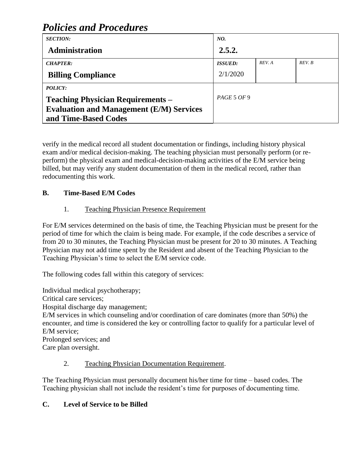| <b>SECTION:</b>                                                                                                                | NO.            |        |        |
|--------------------------------------------------------------------------------------------------------------------------------|----------------|--------|--------|
| <b>Administration</b>                                                                                                          | 2.5.2.         |        |        |
| <b>CHAPTER:</b>                                                                                                                | <b>ISSUED:</b> | REV. A | REV. B |
| <b>Billing Compliance</b>                                                                                                      | 2/1/2020       |        |        |
| POLICY:<br><b>Teaching Physician Requirements –</b><br><b>Evaluation and Management (E/M) Services</b><br>and Time-Based Codes | PAGE 5 OF 9    |        |        |

verify in the medical record all student documentation or findings, including history physical exam and/or medical decision-making. The teaching physician must personally perform (or reperform) the physical exam and medical-decision-making activities of the E/M service being billed, but may verify any student documentation of them in the medical record, rather than redocumenting this work.

#### **B. Time-Based E/M Codes**

#### 1. Teaching Physician Presence Requirement

For E/M services determined on the basis of time, the Teaching Physician must be present for the period of time for which the claim is being made. For example, if the code describes a service of from 20 to 30 minutes, the Teaching Physician must be present for 20 to 30 minutes. A Teaching Physician may not add time spent by the Resident and absent of the Teaching Physician to the Teaching Physician's time to select the E/M service code.

The following codes fall within this category of services:

Individual medical psychotherapy; Critical care services; Hospital discharge day management; E/M services in which counseling and/or coordination of care dominates (more than 50%) the encounter, and time is considered the key or controlling factor to qualify for a particular level of E/M service; Prolonged services; and Care plan oversight.

#### 2. Teaching Physician Documentation Requirement.

The Teaching Physician must personally document his/her time for time – based codes. The Teaching physician shall not include the resident's time for purposes of documenting time.

### **C. Level of Service to be Billed**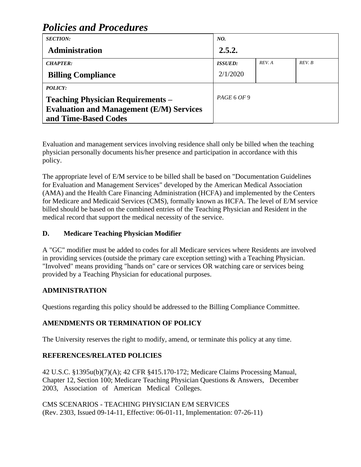| <b>SECTION:</b>                                                                                                                | NO.                   |        |        |
|--------------------------------------------------------------------------------------------------------------------------------|-----------------------|--------|--------|
| <b>Administration</b>                                                                                                          | 2.5.2.                |        |        |
| <b>CHAPTER:</b>                                                                                                                | <i><b>ISSUED:</b></i> | REV. A | REV. B |
| <b>Billing Compliance</b>                                                                                                      | 2/1/2020              |        |        |
| POLICY:<br><b>Teaching Physician Requirements –</b><br><b>Evaluation and Management (E/M) Services</b><br>and Time-Based Codes | PAGE 6 OF 9           |        |        |

Evaluation and management services involving residence shall only be billed when the teaching physician personally documents his/her presence and participation in accordance with this policy.

The appropriate level of E/M service to be billed shall be based on "Documentation Guidelines for Evaluation and Management Services" developed by the American Medical Association (AMA) and the Health Care Financing Administration (HCFA) and implemented by the Centers for Medicare and Medicaid Services (CMS), formally known as HCFA. The level of E/M service billed should be based on the combined entries of the Teaching Physician and Resident in the medical record that support the medical necessity of the service.

#### **D. Medicare Teaching Physician Modifier**

A "GC" modifier must be added to codes for all Medicare services where Residents are involved in providing services (outside the primary care exception setting) with a Teaching Physician. "Involved" means providing "hands on" care or services OR watching care or services being provided by a Teaching Physician for educational purposes.

### **ADMINISTRATION**

Questions regarding this policy should be addressed to the Billing Compliance Committee.

### **AMENDMENTS OR TERMINATION OF POLICY**

The University reserves the right to modify, amend, or terminate this policy at any time.

### **REFERENCES/RELATED POLICIES**

42 U.S.C. §1395u(b)(7)(A); 42 CFR §415.170-172; Medicare Claims Processing Manual, Chapter 12, Section 100; Medicare Teaching Physician Questions & Answers, December 2003, Association of American Medical Colleges.

CMS SCENARIOS - TEACHING PHYSICIAN E/M SERVICES (Rev. 2303, Issued 09-14-11, Effective: 06-01-11, Implementation: 07-26-11)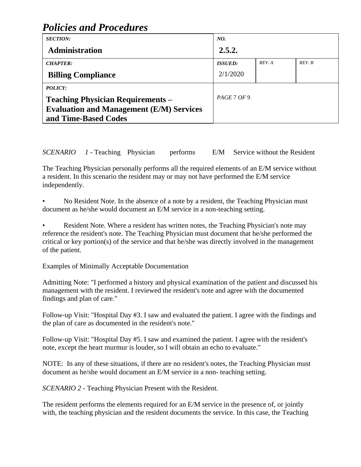| <b>SECTION:</b>                                                                                                                | NO.                   |        |        |
|--------------------------------------------------------------------------------------------------------------------------------|-----------------------|--------|--------|
| <b>Administration</b>                                                                                                          | 2.5.2.                |        |        |
| <b>CHAPTER:</b>                                                                                                                | <i><b>ISSUED:</b></i> | REV. A | REV. B |
| <b>Billing Compliance</b>                                                                                                      | 2/1/2020              |        |        |
| POLICY:<br><b>Teaching Physician Requirements –</b><br><b>Evaluation and Management (E/M) Services</b><br>and Time-Based Codes | PAGE 7 OF 9           |        |        |

*SCENARIO 1* - Teaching Physician performs E/M Service without the Resident

The Teaching Physician personally performs all the required elements of an E/M service without a resident. In this scenario the resident may or may not have performed the E/M service independently.

• No Resident Note. In the absence of a note by a resident, the Teaching Physician must document as he/she would document an E/M service in a non-teaching setting.

Resident Note. Where a resident has written notes, the Teaching Physician's note may reference the resident's note. The Teaching Physician must document that he/she performed the critical or key portion(s) of the service and that he/she was directly involved in the management of the patient.

Examples of Minimally Acceptable Documentation

Admitting Note: "I performed a history and physical examination of the patient and discussed his management with the resident. I reviewed the resident's note and agree with the documented findings and plan of care."

Follow-up Visit: "Hospital Day #3. I saw and evaluated the patient. I agree with the findings and the plan of care as documented in the resident's note."

Follow-up Visit: "Hospital Day #5. I saw and examined the patient. I agree with the resident's note, except the heart murmur is louder, so I will obtain an echo to evaluate."

NOTE: In any of these situations, if there are no resident's notes, the Teaching Physician must document as he/she would document an E/M service in a non- teaching setting.

*SCENARIO 2* - Teaching Physician Present with the Resident.

The resident performs the elements required for an E/M service in the presence of, or jointly with, the teaching physician and the resident documents the service. In this case, the Teaching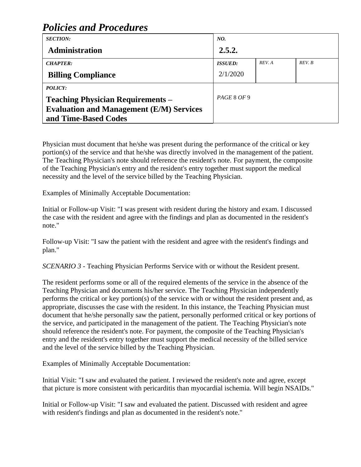| <b>SECTION:</b>                                                                                                                | NO.            |        |        |
|--------------------------------------------------------------------------------------------------------------------------------|----------------|--------|--------|
| <b>Administration</b>                                                                                                          | 2.5.2.         |        |        |
| <b>CHAPTER:</b>                                                                                                                | <b>ISSUED:</b> | REV. A | REV. B |
| <b>Billing Compliance</b>                                                                                                      | 2/1/2020       |        |        |
| POLICY:<br><b>Teaching Physician Requirements –</b><br><b>Evaluation and Management (E/M) Services</b><br>and Time-Based Codes | PAGE 8 OF 9    |        |        |

Physician must document that he/she was present during the performance of the critical or key portion(s) of the service and that he/she was directly involved in the management of the patient. The Teaching Physician's note should reference the resident's note. For payment, the composite of the Teaching Physician's entry and the resident's entry together must support the medical necessity and the level of the service billed by the Teaching Physician.

Examples of Minimally Acceptable Documentation:

Initial or Follow-up Visit: "I was present with resident during the history and exam. I discussed the case with the resident and agree with the findings and plan as documented in the resident's note."

Follow-up Visit: "I saw the patient with the resident and agree with the resident's findings and plan."

*SCENARIO 3* - Teaching Physician Performs Service with or without the Resident present.

The resident performs some or all of the required elements of the service in the absence of the Teaching Physician and documents his/her service. The Teaching Physician independently performs the critical or key portion(s) of the service with or without the resident present and, as appropriate, discusses the case with the resident. In this instance, the Teaching Physician must document that he/she personally saw the patient, personally performed critical or key portions of the service, and participated in the management of the patient. The Teaching Physician's note should reference the resident's note. For payment, the composite of the Teaching Physician's entry and the resident's entry together must support the medical necessity of the billed service and the level of the service billed by the Teaching Physician.

Examples of Minimally Acceptable Documentation:

Initial Visit: "I saw and evaluated the patient. I reviewed the resident's note and agree, except that picture is more consistent with pericarditis than myocardial ischemia. Will begin NSAIDs."

Initial or Follow-up Visit: "I saw and evaluated the patient. Discussed with resident and agree with resident's findings and plan as documented in the resident's note."